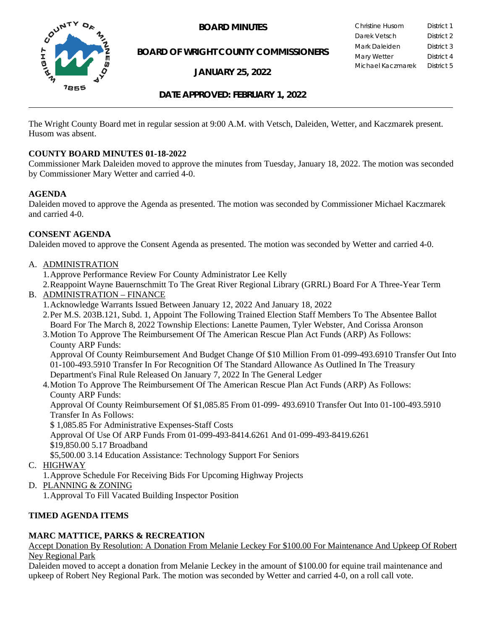

**BOARD OF WRIGHT COUNTY COMMISSIONERS**

**JANUARY 25, 2022**

**BOARD MINUTES** Christine Husom District 1<br>Darek Vetsch District 2 Darek Vetsch Mark Daleiden **District 3** Mary Wetter **District 4** Michael Kaczmarek District 5

# **DATE APPROVED: FEBRUARY 1, 2022**

The Wright County Board met in regular session at 9:00 A.M. with Vetsch, Daleiden, Wetter, and Kaczmarek present. Husom was absent.

#### **COUNTY BOARD MINUTES 01-18-2022**

Commissioner Mark Daleiden moved to approve the minutes from Tuesday, January 18, 2022. The motion was seconded by Commissioner Mary Wetter and carried 4-0.

#### **AGENDA**

Daleiden moved to approve the Agenda as presented. The motion was seconded by Commissioner Michael Kaczmarek and carried 4-0.

#### **CONSENT AGENDA**

Daleiden moved to approve the Consent Agenda as presented. The motion was seconded by Wetter and carried 4-0.

A. ADMINISTRATION

1.Approve Performance Review For County Administrator Lee Kelly

2.Reappoint Wayne Bauernschmitt To The Great River Regional Library (GRRL) Board For A Three-Year Term B. ADMINISTRATION – FINANCE

- 1.Acknowledge Warrants Issued Between January 12, 2022 And January 18, 2022
- 2.Per M.S. 203B.121, Subd. 1, Appoint The Following Trained Election Staff Members To The Absentee Ballot Board For The March 8, 2022 Township Elections: Lanette Paumen, Tyler Webster, And Corissa Aronson
- 3.Motion To Approve The Reimbursement Of The American Rescue Plan Act Funds (ARP) As Follows: County ARP Funds:

Approval Of County Reimbursement And Budget Change Of \$10 Million From 01-099-493.6910 Transfer Out Into 01-100-493.5910 Transfer In For Recognition Of The Standard Allowance As Outlined In The Treasury Department's Final Rule Released On January 7, 2022 In The General Ledger

4.Motion To Approve The Reimbursement Of The American Rescue Plan Act Funds (ARP) As Follows: County ARP Funds:

Approval Of County Reimbursement Of \$1,085.85 From 01-099- 493.6910 Transfer Out Into 01-100-493.5910 Transfer In As Follows:

\$ 1,085.85 For Administrative Expenses-Staff Costs

Approval Of Use Of ARP Funds From 01-099-493-8414.6261 And 01-099-493-8419.6261

\$19,850.00 5.17 Broadband

\$5,500.00 3.14 Education Assistance: Technology Support For Seniors

- C. HIGHWAY
	- 1.Approve Schedule For Receiving Bids For Upcoming Highway Projects
- D. PLANNING & ZONING
	- 1.Approval To Fill Vacated Building Inspector Position

# **TIMED AGENDA ITEMS**

# **MARC MATTICE, PARKS & RECREATION**

Accept Donation By Resolution: A Donation From Melanie Leckey For \$100.00 For Maintenance And Upkeep Of Robert Ney Regional Park

Daleiden moved to accept a donation from Melanie Leckey in the amount of \$100.00 for equine trail maintenance and upkeep of Robert Ney Regional Park. The motion was seconded by Wetter and carried 4-0, on a roll call vote.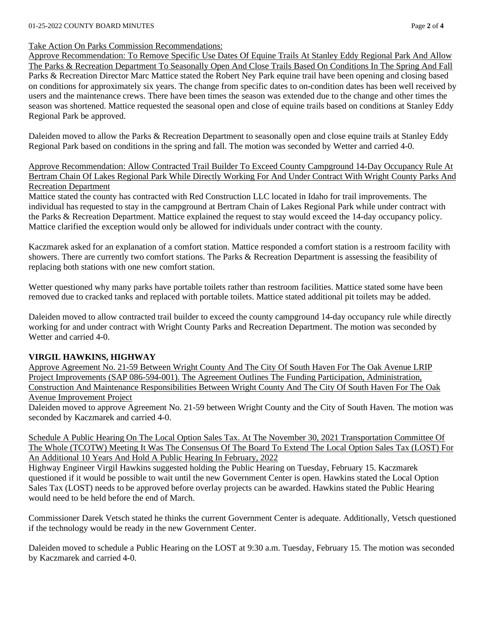#### Take Action On Parks Commission Recommendations:

Approve Recommendation: To Remove Specific Use Dates Of Equine Trails At Stanley Eddy Regional Park And Allow The Parks & Recreation Department To Seasonally Open And Close Trails Based On Conditions In The Spring And Fall Parks & Recreation Director Marc Mattice stated the Robert Ney Park equine trail have been opening and closing based on conditions for approximately six years. The change from specific dates to on-condition dates has been well received by users and the maintenance crews. There have been times the season was extended due to the change and other times the season was shortened. Mattice requested the seasonal open and close of equine trails based on conditions at Stanley Eddy Regional Park be approved.

Daleiden moved to allow the Parks & Recreation Department to seasonally open and close equine trails at Stanley Eddy Regional Park based on conditions in the spring and fall. The motion was seconded by Wetter and carried 4-0.

Approve Recommendation: Allow Contracted Trail Builder To Exceed County Campground 14-Day Occupancy Rule At Bertram Chain Of Lakes Regional Park While Directly Working For And Under Contract With Wright County Parks And Recreation Department

Mattice stated the county has contracted with Red Construction LLC located in Idaho for trail improvements. The individual has requested to stay in the campground at Bertram Chain of Lakes Regional Park while under contract with the Parks & Recreation Department. Mattice explained the request to stay would exceed the 14-day occupancy policy. Mattice clarified the exception would only be allowed for individuals under contract with the county.

Kaczmarek asked for an explanation of a comfort station. Mattice responded a comfort station is a restroom facility with showers. There are currently two comfort stations. The Parks & Recreation Department is assessing the feasibility of replacing both stations with one new comfort station.

Wetter questioned why many parks have portable toilets rather than restroom facilities. Mattice stated some have been removed due to cracked tanks and replaced with portable toilets. Mattice stated additional pit toilets may be added.

Daleiden moved to allow contracted trail builder to exceed the county campground 14-day occupancy rule while directly working for and under contract with Wright County Parks and Recreation Department. The motion was seconded by Wetter and carried 4-0.

# **VIRGIL HAWKINS, HIGHWAY**

Approve Agreement No. 21-59 Between Wright County And The City Of South Haven For The Oak Avenue LRIP Project Improvements (SAP 086-594-001). The Agreement Outlines The Funding Participation, Administration, Construction And Maintenance Responsibilities Between Wright County And The City Of South Haven For The Oak Avenue Improvement Project

Daleiden moved to approve Agreement No. 21-59 between Wright County and the City of South Haven. The motion was seconded by Kaczmarek and carried 4-0.

Schedule A Public Hearing On The Local Option Sales Tax. At The November 30, 2021 Transportation Committee Of The Whole (TCOTW) Meeting It Was The Consensus Of The Board To Extend The Local Option Sales Tax (LOST) For An Additional 10 Years And Hold A Public Hearing In February, 2022

Highway Engineer Virgil Hawkins suggested holding the Public Hearing on Tuesday, February 15. Kaczmarek questioned if it would be possible to wait until the new Government Center is open. Hawkins stated the Local Option Sales Tax (LOST) needs to be approved before overlay projects can be awarded. Hawkins stated the Public Hearing would need to be held before the end of March.

Commissioner Darek Vetsch stated he thinks the current Government Center is adequate. Additionally, Vetsch questioned if the technology would be ready in the new Government Center.

Daleiden moved to schedule a Public Hearing on the LOST at 9:30 a.m. Tuesday, February 15. The motion was seconded by Kaczmarek and carried 4-0.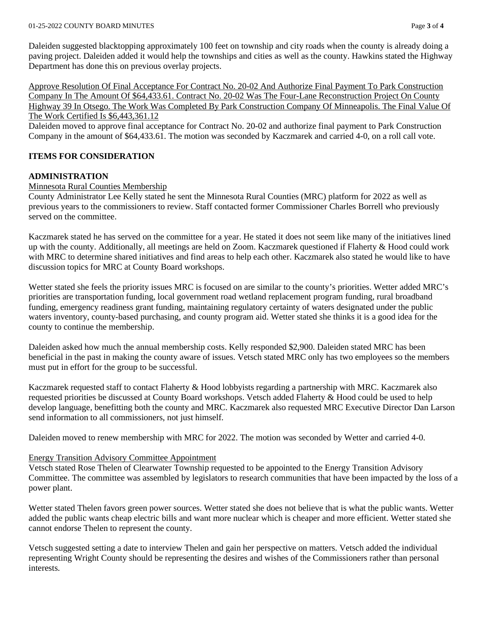Daleiden suggested blacktopping approximately 100 feet on township and city roads when the county is already doing a paving project. Daleiden added it would help the townships and cities as well as the county. Hawkins stated the Highway Department has done this on previous overlay projects.

Approve Resolution Of Final Acceptance For Contract No. 20-02 And Authorize Final Payment To Park Construction Company In The Amount Of \$64,433.61. Contract No. 20-02 Was The Four-Lane Reconstruction Project On County Highway 39 In Otsego. The Work Was Completed By Park Construction Company Of Minneapolis. The Final Value Of The Work Certified Is \$6,443,361.12

Daleiden moved to approve final acceptance for Contract No. 20-02 and authorize final payment to Park Construction Company in the amount of \$64,433.61. The motion was seconded by Kaczmarek and carried 4-0, on a roll call vote.

# **ITEMS FOR CONSIDERATION**

# **ADMINISTRATION**

#### Minnesota Rural Counties Membership

County Administrator Lee Kelly stated he sent the Minnesota Rural Counties (MRC) platform for 2022 as well as previous years to the commissioners to review. Staff contacted former Commissioner Charles Borrell who previously served on the committee.

Kaczmarek stated he has served on the committee for a year. He stated it does not seem like many of the initiatives lined up with the county. Additionally, all meetings are held on Zoom. Kaczmarek questioned if Flaherty & Hood could work with MRC to determine shared initiatives and find areas to help each other. Kaczmarek also stated he would like to have discussion topics for MRC at County Board workshops.

Wetter stated she feels the priority issues MRC is focused on are similar to the county's priorities. Wetter added MRC's priorities are transportation funding, local government road wetland replacement program funding, rural broadband funding, emergency readiness grant funding, maintaining regulatory certainty of waters designated under the public waters inventory, county-based purchasing, and county program aid. Wetter stated she thinks it is a good idea for the county to continue the membership.

Daleiden asked how much the annual membership costs. Kelly responded \$2,900. Daleiden stated MRC has been beneficial in the past in making the county aware of issues. Vetsch stated MRC only has two employees so the members must put in effort for the group to be successful.

Kaczmarek requested staff to contact Flaherty & Hood lobbyists regarding a partnership with MRC. Kaczmarek also requested priorities be discussed at County Board workshops. Vetsch added Flaherty & Hood could be used to help develop language, benefitting both the county and MRC. Kaczmarek also requested MRC Executive Director Dan Larson send information to all commissioners, not just himself.

Daleiden moved to renew membership with MRC for 2022. The motion was seconded by Wetter and carried 4-0.

#### Energy Transition Advisory Committee Appointment

Vetsch stated Rose Thelen of Clearwater Township requested to be appointed to the Energy Transition Advisory Committee. The committee was assembled by legislators to research communities that have been impacted by the loss of a power plant.

Wetter stated Thelen favors green power sources. Wetter stated she does not believe that is what the public wants. Wetter added the public wants cheap electric bills and want more nuclear which is cheaper and more efficient. Wetter stated she cannot endorse Thelen to represent the county.

Vetsch suggested setting a date to interview Thelen and gain her perspective on matters. Vetsch added the individual representing Wright County should be representing the desires and wishes of the Commissioners rather than personal interests.